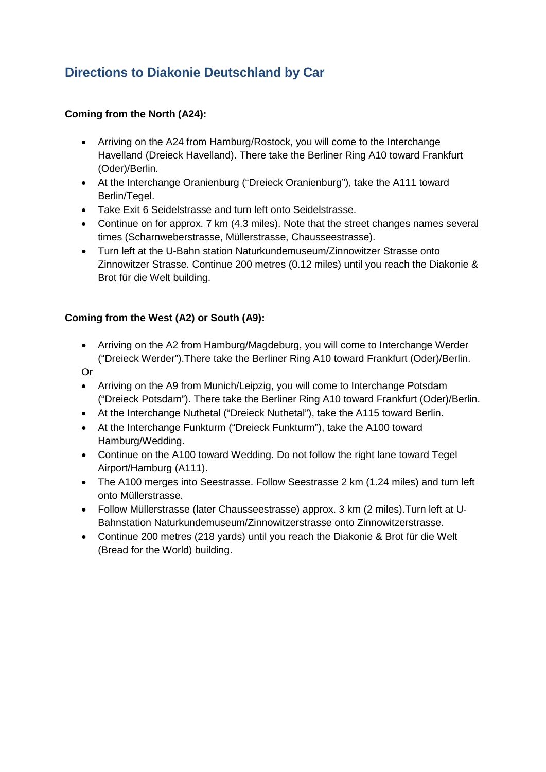# **Directions to Diakonie Deutschland by Car**

## **Coming from the North (A24):**

- Arriving on the A24 from Hamburg/Rostock, you will come to the Interchange Havelland (Dreieck Havelland). There take the Berliner Ring A10 toward Frankfurt (Oder)/Berlin.
- At the Interchange Oranienburg ("Dreieck Oranienburg"), take the A111 toward Berlin/Tegel.
- Take Exit 6 Seidelstrasse and turn left onto Seidelstrasse.
- Continue on for approx. 7 km (4.3 miles). Note that the street changes names several times (Scharnweberstrasse, Müllerstrasse, Chausseestrasse).
- Turn left at the U-Bahn station Naturkundemuseum/Zinnowitzer Strasse onto Zinnowitzer Strasse. Continue 200 metres (0.12 miles) until you reach the Diakonie & Brot für die Welt building.

## **Coming from the West (A2) or South (A9):**

• Arriving on the A2 from Hamburg/Magdeburg, you will come to Interchange Werder ("Dreieck Werder").There take the Berliner Ring A10 toward Frankfurt (Oder)/Berlin.

Or

- Arriving on the A9 from Munich/Leipzig, you will come to Interchange Potsdam ("Dreieck Potsdam"). There take the Berliner Ring A10 toward Frankfurt (Oder)/Berlin.
- At the Interchange Nuthetal ("Dreieck Nuthetal"), take the A115 toward Berlin.
- At the Interchange Funkturm ("Dreieck Funkturm"), take the A100 toward Hamburg/Wedding.
- Continue on the A100 toward Wedding. Do not follow the right lane toward Tegel Airport/Hamburg (A111).
- The A100 merges into Seestrasse. Follow Seestrasse 2 km (1.24 miles) and turn left onto Müllerstrasse.
- Follow Müllerstrasse (later Chausseestrasse) approx. 3 km (2 miles).Turn left at U-Bahnstation Naturkundemuseum/Zinnowitzerstrasse onto Zinnowitzerstrasse.
- Continue 200 metres (218 yards) until you reach the Diakonie & Brot für die Welt (Bread for the World) building.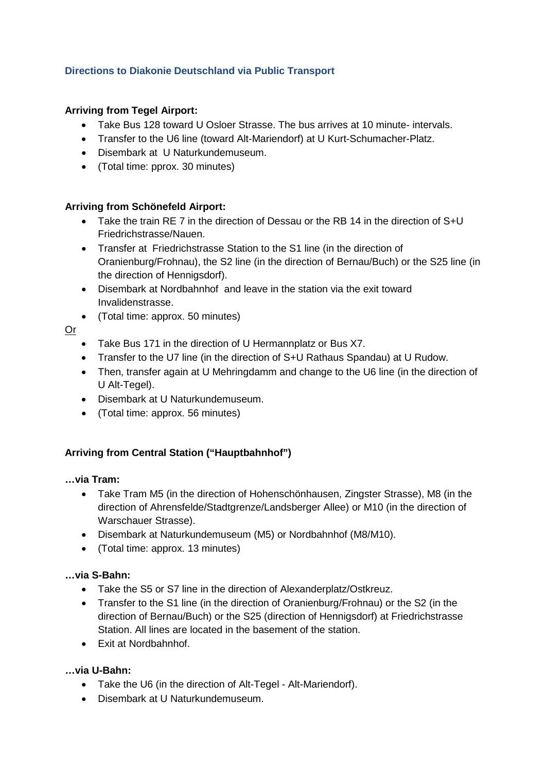## **Directions to Diakonie Deutschland via Public Transport**

## **Arriving from Tegel Airport:**

- Take Bus 128 toward U Osloer Strasse. The bus arrives at 10 minute- intervals.
- Transfer to the U6 line (toward Alt-Mariendorf) at U Kurt-Schumacher-Platz.
- Disembark at U Naturkundemuseum.
- (Total time: pprox. 30 minutes)

### **Arriving from Schönefeld Airport:**

- Take the train RE 7 in the direction of Dessau or the RB 14 in the direction of S+U Friedrichstrasse/Nauen.
- Transfer at Friedrichstrasse Station to the S1 line (in the direction of Oranienburg/Frohnau), the S2 line (in the direction of Bernau/Buch) or the S25 line (in the direction of Hennigsdorf).
- Disembark at Nordbahnhof and leave in the station via the exit toward Invalidenstrasse.
- (Total time: approx. 50 minutes)

## Or

- Take Bus 171 in the direction of U Hermannplatz or Bus X7.
- Transfer to the U7 line (in the direction of S+U Rathaus Spandau) at U Rudow.
- Then, transfer again at U Mehringdamm and change to the U6 line (in the direction of U Alt-Tegel).
- Disembark at U Naturkundemuseum.
- (Total time: approx. 56 minutes)

### **Arriving from Central Station ("Hauptbahnhof")**

### **…via Tram:**

- Take Tram M5 (in the direction of Hohenschönhausen, Zingster Strasse), M8 (in the direction of Ahrensfelde/Stadtgrenze/Landsberger Allee) or M10 (in the direction of Warschauer Strasse).
- Disembark at Naturkundemuseum (M5) or Nordbahnhof (M8/M10).
- (Total time: approx. 13 minutes)

### **…via S-Bahn:**

- Take the S5 or S7 line in the direction of Alexanderplatz/Ostkreuz.
- Transfer to the S1 line (in the direction of Oranienburg/Frohnau) or the S2 (in the direction of Bernau/Buch) or the S25 (direction of Hennigsdorf) at Friedrichstrasse Station. All lines are located in the basement of the station.
- Exit at Nordbahnhof.

### **…via U-Bahn:**

- Take the U6 (in the direction of Alt-Tegel Alt-Mariendorf).
- Disembark at U Naturkundemuseum.